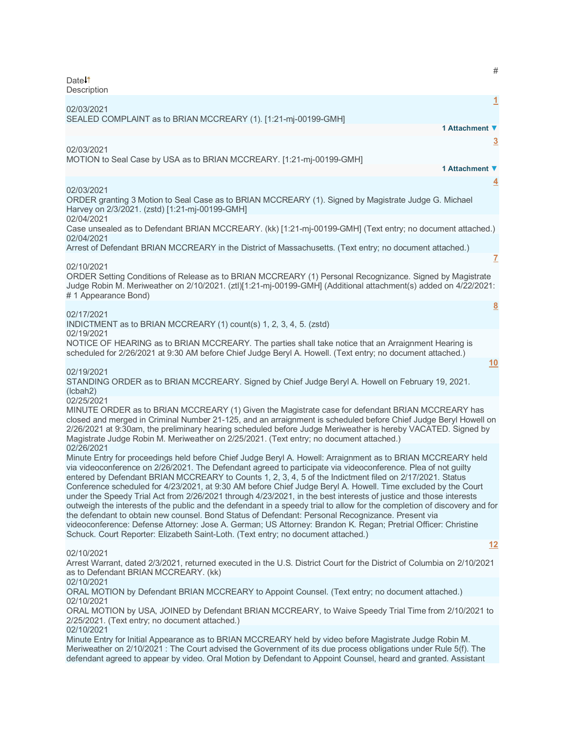# Date<sup>1</sup> **Description [1](javascript:void(0))** 02/03/2021 SEALED COMPLAINT as to BRIAN MCCREARY (1). [1:21-mj-00199-GMH] **1 Attachment ▼ [3](javascript:void(0))** 02/03/2021 MOTION to Seal Case by USA as to BRIAN MCCREARY. [1:21-mj-00199-GMH] **1 Attachment ▼ [4](javascript:void(0))** 02/03/2021 ORDER granting 3 Motion to Seal Case as to BRIAN MCCREARY (1). Signed by Magistrate Judge G. Michael Harvey on 2/3/2021. (zstd) [1:21-mj-00199-GMH] 02/04/2021 Case unsealed as to Defendant BRIAN MCCREARY. (kk) [1:21-mj-00199-GMH] (Text entry; no document attached.) 02/04/2021 Arrest of Defendant BRIAN MCCREARY in the District of Massachusetts. (Text entry; no document attached.) **[7](javascript:void(0))** 02/10/2021 ORDER Setting Conditions of Release as to BRIAN MCCREARY (1) Personal Recognizance. Signed by Magistrate Judge Robin M. Meriweather on 2/10/2021. (ztl)[1:21-mj-00199-GMH] (Additional attachment(s) added on 4/22/2021: # 1 Appearance Bond) **[8](javascript:void(0))** 02/17/2021 INDICTMENT as to BRIAN MCCREARY (1) count(s) 1, 2, 3, 4, 5. (zstd) 02/19/2021 NOTICE OF HEARING as to BRIAN MCCREARY. The parties shall take notice that an Arraignment Hearing is scheduled for 2/26/2021 at 9:30 AM before Chief Judge Beryl A. Howell. (Text entry; no document attached.) **[10](javascript:void(0))** 02/19/2021 STANDING ORDER as to BRIAN MCCREARY. Signed by Chief Judge Beryl A. Howell on February 19, 2021. (lcbah2) 02/25/2021 MINUTE ORDER as to BRIAN MCCREARY (1) Given the Magistrate case for defendant BRIAN MCCREARY has closed and merged in Criminal Number 21-125, and an arraignment is scheduled before Chief Judge Beryl Howell on 2/26/2021 at 9:30am, the preliminary hearing scheduled before Judge Meriweather is hereby VACATED. Signed by Magistrate Judge Robin M. Meriweather on 2/25/2021. (Text entry; no document attached.) 02/26/2021 Minute Entry for proceedings held before Chief Judge Beryl A. Howell: Arraignment as to BRIAN MCCREARY held via videoconference on 2/26/2021. The Defendant agreed to participate via videoconference. Plea of not guilty entered by Defendant BRIAN MCCREARY to Counts 1, 2, 3, 4, 5 of the Indictment filed on 2/17/2021. Status Conference scheduled for 4/23/2021, at 9:30 AM before Chief Judge Beryl A. Howell. Time excluded by the Court under the Speedy Trial Act from 2/26/2021 through 4/23/2021, in the best interests of justice and those interests outweigh the interests of the public and the defendant in a speedy trial to allow for the completion of discovery and for the defendant to obtain new counsel. Bond Status of Defendant: Personal Recognizance. Present via videoconference: Defense Attorney: Jose A. German; US Attorney: Brandon K. Regan; Pretrial Officer: Christine Schuck. Court Reporter: Elizabeth Saint-Loth. (Text entry; no document attached.) **[12](javascript:void(0))** 02/10/2021 Arrest Warrant, dated 2/3/2021, returned executed in the U.S. District Court for the District of Columbia on 2/10/2021 as to Defendant BRIAN MCCREARY. (kk) 02/10/2021 ORAL MOTION by Defendant BRIAN MCCREARY to Appoint Counsel. (Text entry; no document attached.) 02/10/2021 ORAL MOTION by USA, JOINED by Defendant BRIAN MCCREARY, to Waive Speedy Trial Time from 2/10/2021 to 2/25/2021. (Text entry; no document attached.) 02/10/2021

Minute Entry for Initial Appearance as to BRIAN MCCREARY held by video before Magistrate Judge Robin M. Meriweather on 2/10/2021 : The Court advised the Government of its due process obligations under Rule 5(f). The defendant agreed to appear by video. Oral Motion by Defendant to Appoint Counsel, heard and granted. Assistant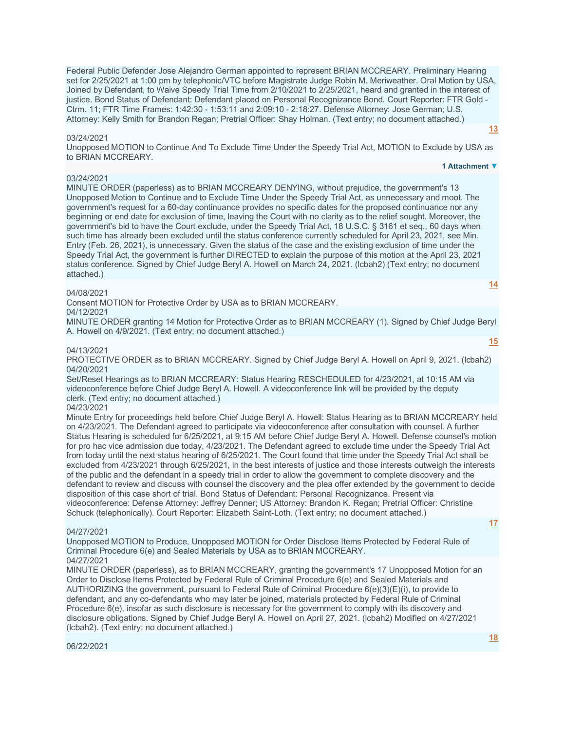Federal Public Defender Jose Alejandro German appointed to represent BRIAN MCCREARY. Preliminary Hearing set for 2/25/2021 at 1:00 pm by telephonic/VTC before Magistrate Judge Robin M. Meriweather. Oral Motion by USA, Joined by Defendant, to Waive Speedy Trial Time from 2/10/2021 to 2/25/2021, heard and granted in the interest of justice. Bond Status of Defendant: Defendant placed on Personal Recognizance Bond. Court Reporter: FTR Gold - Ctrm. 11; FTR Time Frames: 1:42:30 - 1:53:11 and 2:09:10 - 2:18:27. Defense Attorney: Jose German; U.S. Attorney: Kelly Smith for Brandon Regan; Pretrial Officer: Shay Holman. (Text entry; no document attached.)

#### 03/24/2021

Unopposed MOTION to Continue And To Exclude Time Under the Speedy Trial Act, MOTION to Exclude by USA as to BRIAN MCCREARY.

#### 03/24/2021

MINUTE ORDER (paperless) as to BRIAN MCCREARY DENYING, without prejudice, the government's 13 Unopposed Motion to Continue and to Exclude Time Under the Speedy Trial Act, as unnecessary and moot. The government's request for a 60-day continuance provides no specific dates for the proposed continuance nor any beginning or end date for exclusion of time, leaving the Court with no clarity as to the relief sought. Moreover, the government's bid to have the Court exclude, under the Speedy Trial Act, 18 U.S.C. § 3161 et seq., 60 days when such time has already been excluded until the status conference currently scheduled for April 23, 2021, see Min. Entry (Feb. 26, 2021), is unnecessary. Given the status of the case and the existing exclusion of time under the Speedy Trial Act, the government is further DIRECTED to explain the purpose of this motion at the April 23, 2021 status conference. Signed by Chief Judge Beryl A. Howell on March 24, 2021. (lcbah2) (Text entry; no document attached.)

#### 04/08/2021

Consent MOTION for Protective Order by USA as to BRIAN MCCREARY.

04/12/2021

MINUTE ORDER granting 14 Motion for Protective Order as to BRIAN MCCREARY (1). Signed by Chief Judge Beryl A. Howell on 4/9/2021. (Text entry; no document attached.)

#### 04/13/2021

PROTECTIVE ORDER as to BRIAN MCCREARY. Signed by Chief Judge Beryl A. Howell on April 9, 2021. (lcbah2) 04/20/2021

Set/Reset Hearings as to BRIAN MCCREARY: Status Hearing RESCHEDULED for 4/23/2021, at 10:15 AM via videoconference before Chief Judge Beryl A. Howell. A videoconference link will be provided by the deputy clerk. (Text entry; no document attached.)

#### 04/23/2021

Minute Entry for proceedings held before Chief Judge Beryl A. Howell: Status Hearing as to BRIAN MCCREARY held on 4/23/2021. The Defendant agreed to participate via videoconference after consultation with counsel. A further Status Hearing is scheduled for 6/25/2021, at 9:15 AM before Chief Judge Beryl A. Howell. Defense counsel's motion for pro hac vice admission due today, 4/23/2021. The Defendant agreed to exclude time under the Speedy Trial Act from today until the next status hearing of 6/25/2021. The Court found that time under the Speedy Trial Act shall be excluded from 4/23/2021 through 6/25/2021, in the best interests of justice and those interests outweigh the interests of the public and the defendant in a speedy trial in order to allow the government to complete discovery and the defendant to review and discuss with counsel the discovery and the plea offer extended by the government to decide disposition of this case short of trial. Bond Status of Defendant: Personal Recognizance. Present via videoconference: Defense Attorney: Jeffrey Denner; US Attorney: Brandon K. Regan; Pretrial Officer: Christine Schuck (telephonically). Court Reporter: Elizabeth Saint-Loth. (Text entry; no document attached.)

#### 04/27/2021

Unopposed MOTION to Produce, Unopposed MOTION for Order Disclose Items Protected by Federal Rule of Criminal Procedure 6(e) and Sealed Materials by USA as to BRIAN MCCREARY. 04/27/2021

MINUTE ORDER (paperless), as to BRIAN MCCREARY, granting the government's 17 Unopposed Motion for an Order to Disclose Items Protected by Federal Rule of Criminal Procedure 6(e) and Sealed Materials and AUTHORIZING the government, pursuant to Federal Rule of Criminal Procedure 6(e)(3)(E)(i), to provide to defendant, and any co-defendants who may later be joined, materials protected by Federal Rule of Criminal Procedure 6(e), insofar as such disclosure is necessary for the government to comply with its discovery and disclosure obligations. Signed by Chief Judge Beryl A. Howell on April 27, 2021. (lcbah2) Modified on 4/27/2021 (lcbah2). (Text entry; no document attached.)

# **1 Attachment ▼**

**[13](javascript:void(0))**

**[15](javascript:void(0))**

**[14](javascript:void(0))**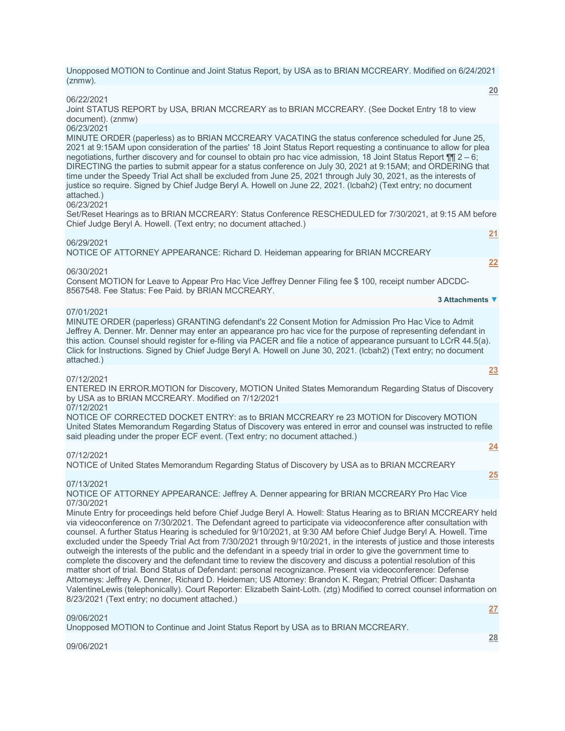Unopposed MOTION to Continue and Joint Status Report, by USA as to BRIAN MCCREARY. Modified on 6/24/2021 (znmw). **[20](javascript:void(0))**

06/22/2021

Joint STATUS REPORT by USA, BRIAN MCCREARY as to BRIAN MCCREARY. (See Docket Entry 18 to view document). (znmw)

# 06/23/2021

MINUTE ORDER (paperless) as to BRIAN MCCREARY VACATING the status conference scheduled for June 25, 2021 at 9:15AM upon consideration of the parties' 18 Joint Status Report requesting a continuance to allow for plea negotiations, further discovery and for counsel to obtain pro hac vice admission, 18 Joint Status Report ¶¶ 2 – 6; DIRECTING the parties to submit appear for a status conference on July 30, 2021 at 9:15AM; and ORDERING that time under the Speedy Trial Act shall be excluded from June 25, 2021 through July 30, 2021, as the interests of justice so require. Signed by Chief Judge Beryl A. Howell on June 22, 2021. (lcbah2) (Text entry; no document attached.)

#### 06/23/2021

Set/Reset Hearings as to BRIAN MCCREARY: Status Conference RESCHEDULED for 7/30/2021, at 9:15 AM before Chief Judge Beryl A. Howell. (Text entry; no document attached.)

#### 06/29/2021

NOTICE OF ATTORNEY APPEARANCE: Richard D. Heideman appearing for BRIAN MCCREARY

#### 06/30/2021

Consent MOTION for Leave to Appear Pro Hac Vice Jeffrey Denner Filing fee \$ 100, receipt number ADCDC-8567548. Fee Status: Fee Paid. by BRIAN MCCREARY.

#### 07/01/2021

MINUTE ORDER (paperless) GRANTING defendant's 22 Consent Motion for Admission Pro Hac Vice to Admit Jeffrey A. Denner. Mr. Denner may enter an appearance pro hac vice for the purpose of representing defendant in this action. Counsel should register for e-filing via PACER and file a notice of appearance pursuant to LCrR 44.5(a). Click for Instructions. Signed by Chief Judge Beryl A. Howell on June 30, 2021. (lcbah2) (Text entry; no document attached.)

# 07/12/2021

ENTERED IN ERROR.MOTION for Discovery, MOTION United States Memorandum Regarding Status of Discovery by USA as to BRIAN MCCREARY. Modified on 7/12/2021

# 07/12/2021

NOTICE OF CORRECTED DOCKET ENTRY: as to BRIAN MCCREARY re 23 MOTION for Discovery MOTION United States Memorandum Regarding Status of Discovery was entered in error and counsel was instructed to refile said pleading under the proper ECF event. (Text entry; no document attached.)

#### 07/12/2021

NOTICE of United States Memorandum Regarding Status of Discovery by USA as to BRIAN MCCREARY

# 07/13/2021

NOTICE OF ATTORNEY APPEARANCE: Jeffrey A. Denner appearing for BRIAN MCCREARY Pro Hac Vice 07/30/2021

Minute Entry for proceedings held before Chief Judge Beryl A. Howell: Status Hearing as to BRIAN MCCREARY held via videoconference on 7/30/2021. The Defendant agreed to participate via videoconference after consultation with counsel. A further Status Hearing is scheduled for 9/10/2021, at 9:30 AM before Chief Judge Beryl A. Howell. Time excluded under the Speedy Trial Act from 7/30/2021 through 9/10/2021, in the interests of justice and those interests outweigh the interests of the public and the defendant in a speedy trial in order to give the government time to complete the discovery and the defendant time to review the discovery and discuss a potential resolution of this matter short of trial. Bond Status of Defendant: personal recognizance. Present via videoconference: Defense Attorneys: Jeffrey A. Denner, Richard D. Heideman; US Attorney: Brandon K. Regan; Pretrial Officer: Dashanta ValentineLewis (telephonically). Court Reporter: Elizabeth Saint-Loth. (ztg) Modified to correct counsel information on 8/23/2021 (Text entry; no document attached.)

# 09/06/2021

Unopposed MOTION to Continue and Joint Status Report by USA as to BRIAN MCCREARY.

09/06/2021

**3 Attachments ▼**

**[21](javascript:void(0))**

**[22](javascript:void(0))**

**[23](javascript:void(0))**

**[24](javascript:void(0))**

**[25](javascript:void(0))**

**[28](javascript:void(0))**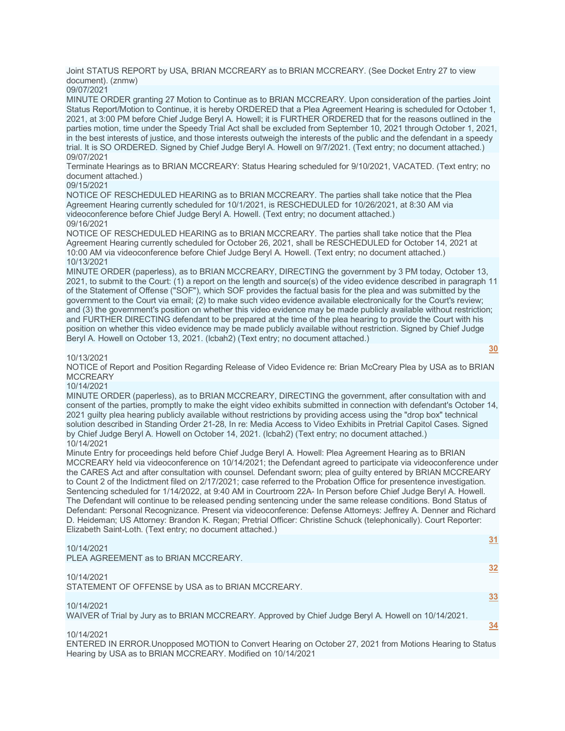Joint STATUS REPORT by USA, BRIAN MCCREARY as to BRIAN MCCREARY. (See Docket Entry 27 to view document). (znmw)

09/07/2021

MINUTE ORDER granting 27 Motion to Continue as to BRIAN MCCREARY. Upon consideration of the parties Joint Status Report/Motion to Continue, it is hereby ORDERED that a Plea Agreement Hearing is scheduled for October 1, 2021, at 3:00 PM before Chief Judge Beryl A. Howell; it is FURTHER ORDERED that for the reasons outlined in the parties motion, time under the Speedy Trial Act shall be excluded from September 10, 2021 through October 1, 2021, in the best interests of justice, and those interests outweigh the interests of the public and the defendant in a speedy trial. It is SO ORDERED. Signed by Chief Judge Beryl A. Howell on 9/7/2021. (Text entry; no document attached.) 09/07/2021

Terminate Hearings as to BRIAN MCCREARY: Status Hearing scheduled for 9/10/2021, VACATED. (Text entry; no document attached.)

#### 09/15/2021

NOTICE OF RESCHEDULED HEARING as to BRIAN MCCREARY. The parties shall take notice that the Plea Agreement Hearing currently scheduled for 10/1/2021, is RESCHEDULED for 10/26/2021, at 8:30 AM via videoconference before Chief Judge Beryl A. Howell. (Text entry; no document attached.) 09/16/2021

NOTICE OF RESCHEDULED HEARING as to BRIAN MCCREARY. The parties shall take notice that the Plea Agreement Hearing currently scheduled for October 26, 2021, shall be RESCHEDULED for October 14, 2021 at 10:00 AM via videoconference before Chief Judge Beryl A. Howell. (Text entry; no document attached.) 10/13/2021

MINUTE ORDER (paperless), as to BRIAN MCCREARY, DIRECTING the government by 3 PM today, October 13, 2021, to submit to the Court: (1) a report on the length and source(s) of the video evidence described in paragraph 11 of the Statement of Offense ("SOF"), which SOF provides the factual basis for the plea and was submitted by the government to the Court via email; (2) to make such video evidence available electronically for the Court's review; and (3) the government's position on whether this video evidence may be made publicly available without restriction; and FURTHER DIRECTING defendant to be prepared at the time of the plea hearing to provide the Court with his position on whether this video evidence may be made publicly available without restriction. Signed by Chief Judge Beryl A. Howell on October 13, 2021. (lcbah2) (Text entry; no document attached.)

#### 10/13/2021

NOTICE of Report and Position Regarding Release of Video Evidence re: Brian McCreary Plea by USA as to BRIAN **MCCREARY** 

**[30](javascript:void(0))**

**[31](javascript:void(0))**

#### 10/14/2021

MINUTE ORDER (paperless), as to BRIAN MCCREARY, DIRECTING the government, after consultation with and consent of the parties, promptly to make the eight video exhibits submitted in connection with defendant's October 14, 2021 guilty plea hearing publicly available without restrictions by providing access using the "drop box" technical solution described in Standing Order 21-28, In re: Media Access to Video Exhibits in Pretrial Capitol Cases. Signed by Chief Judge Beryl A. Howell on October 14, 2021. (lcbah2) (Text entry; no document attached.) 10/14/2021

Minute Entry for proceedings held before Chief Judge Beryl A. Howell: Plea Agreement Hearing as to BRIAN MCCREARY held via videoconference on 10/14/2021; the Defendant agreed to participate via videoconference under the CARES Act and after consultation with counsel. Defendant sworn; plea of guilty entered by BRIAN MCCREARY to Count 2 of the Indictment filed on 2/17/2021; case referred to the Probation Office for presentence investigation. Sentencing scheduled for 1/14/2022, at 9:40 AM in Courtroom 22A- In Person before Chief Judge Beryl A. Howell. The Defendant will continue to be released pending sentencing under the same release conditions. Bond Status of Defendant: Personal Recognizance. Present via videoconference: Defense Attorneys: Jeffrey A. Denner and Richard D. Heideman; US Attorney: Brandon K. Regan; Pretrial Officer: Christine Schuck (telephonically). Court Reporter: Elizabeth Saint-Loth. (Text entry; no document attached.)

# 10/14/2021

PLEA AGREEMENT as to BRIAN MCCREARY. **[32](javascript:void(0))** 10/14/2021 STATEMENT OF OFFENSE by USA as to BRIAN MCCREARY. **[33](javascript:void(0))** 10/14/2021 WAIVER of Trial by Jury as to BRIAN MCCREARY. Approved by Chief Judge Beryl A. Howell on 10/14/2021. **[34](javascript:void(0))**

#### 10/14/2021

ENTERED IN ERROR.Unopposed MOTION to Convert Hearing on October 27, 2021 from Motions Hearing to Status Hearing by USA as to BRIAN MCCREARY. Modified on 10/14/2021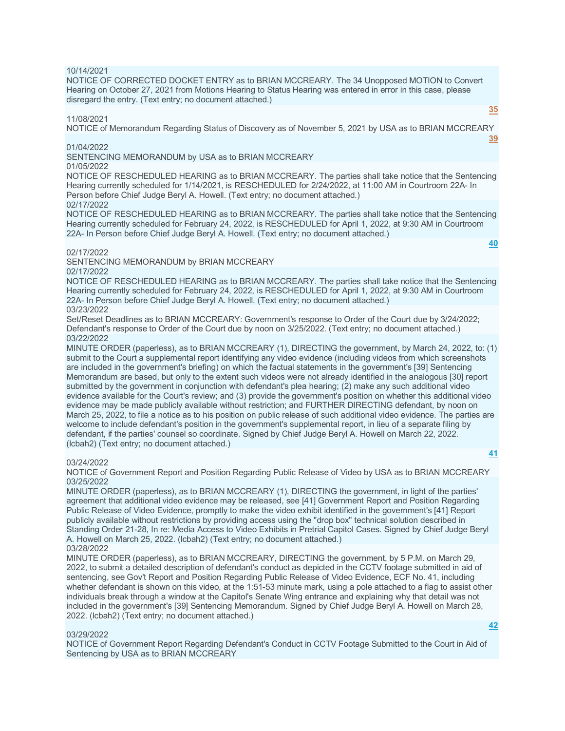#### 10/14/2021

NOTICE OF CORRECTED DOCKET ENTRY as to BRIAN MCCREARY. The 34 Unopposed MOTION to Convert Hearing on October 27, 2021 from Motions Hearing to Status Hearing was entered in error in this case, please disregard the entry. (Text entry; no document attached.)

# 11/08/2021

**[35](javascript:void(0))**

**[40](javascript:void(0))**

NOTICE of Memorandum Regarding Status of Discovery as of November 5, 2021 by USA as to BRIAN MCCREARY **[39](javascript:void(0))**

#### 01/04/2022

SENTENCING MEMORANDUM by USA as to BRIAN MCCREARY

# 01/05/2022

NOTICE OF RESCHEDULED HEARING as to BRIAN MCCREARY. The parties shall take notice that the Sentencing Hearing currently scheduled for 1/14/2021, is RESCHEDULED for 2/24/2022, at 11:00 AM in Courtroom 22A- In Person before Chief Judge Beryl A. Howell. (Text entry; no document attached.) 02/17/2022

NOTICE OF RESCHEDULED HEARING as to BRIAN MCCREARY. The parties shall take notice that the Sentencing Hearing currently scheduled for February 24, 2022, is RESCHEDULED for April 1, 2022, at 9:30 AM in Courtroom 22A- In Person before Chief Judge Beryl A. Howell. (Text entry; no document attached.)

# 02/17/2022

SENTENCING MEMORANDUM by BRIAN MCCREARY 02/17/2022

NOTICE OF RESCHEDULED HEARING as to BRIAN MCCREARY. The parties shall take notice that the Sentencing Hearing currently scheduled for February 24, 2022, is RESCHEDULED for April 1, 2022, at 9:30 AM in Courtroom 22A- In Person before Chief Judge Beryl A. Howell. (Text entry; no document attached.) 03/23/2022

Set/Reset Deadlines as to BRIAN MCCREARY: Government's response to Order of the Court due by 3/24/2022; Defendant's response to Order of the Court due by noon on 3/25/2022. (Text entry; no document attached.) 03/22/2022

MINUTE ORDER (paperless), as to BRIAN MCCREARY (1), DIRECTING the government, by March 24, 2022, to: (1) submit to the Court a supplemental report identifying any video evidence (including videos from which screenshots are included in the government's briefing) on which the factual statements in the government's [39] Sentencing Memorandum are based, but only to the extent such videos were not already identified in the analogous [30] report submitted by the government in conjunction with defendant's plea hearing; (2) make any such additional video evidence available for the Court's review; and (3) provide the government's position on whether this additional video evidence may be made publicly available without restriction; and FURTHER DIRECTING defendant, by noon on March 25, 2022, to file a notice as to his position on public release of such additional video evidence. The parties are welcome to include defendant's position in the government's supplemental report, in lieu of a separate filing by defendant, if the parties' counsel so coordinate. Signed by Chief Judge Beryl A. Howell on March 22, 2022. (lcbah2) (Text entry; no document attached.)

# 03/24/2022

NOTICE of Government Report and Position Regarding Public Release of Video by USA as to BRIAN MCCREARY 03/25/2022

MINUTE ORDER (paperless), as to BRIAN MCCREARY (1), DIRECTING the government, in light of the parties' agreement that additional video evidence may be released, see [41] Government Report and Position Regarding Public Release of Video Evidence, promptly to make the video exhibit identified in the government's [41] Report publicly available without restrictions by providing access using the "drop box" technical solution described in Standing Order 21-28, In re: Media Access to Video Exhibits in Pretrial Capitol Cases. Signed by Chief Judge Beryl A. Howell on March 25, 2022. (lcbah2) (Text entry; no document attached.) 03/28/2022

MINUTE ORDER (paperless), as to BRIAN MCCREARY, DIRECTING the government, by 5 P.M. on March 29, 2022, to submit a detailed description of defendant's conduct as depicted in the CCTV footage submitted in aid of sentencing, see Gov't Report and Position Regarding Public Release of Video Evidence, ECF No. 41, including whether defendant is shown on this video, at the 1:51-53 minute mark, using a pole attached to a flag to assist other individuals break through a window at the Capitol's Senate Wing entrance and explaining why that detail was not included in the government's [39] Sentencing Memorandum. Signed by Chief Judge Beryl A. Howell on March 28, 2022. (lcbah2) (Text entry; no document attached.)

#### 03/29/2022

NOTICE of Government Report Regarding Defendant's Conduct in CCTV Footage Submitted to the Court in Aid of Sentencing by USA as to BRIAN MCCREARY

**[42](javascript:void(0))**